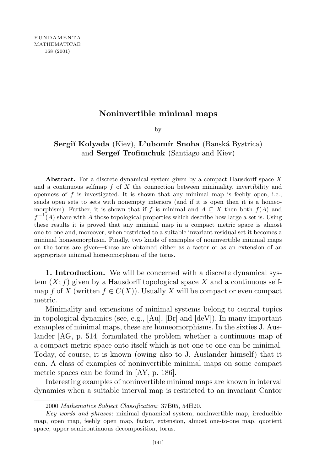## **Noninvertible minimal maps**

by

## **Sergiĭ Kolyada** (Kiev), **L'ubomír Snoha** (Banská Bystrica) and **Serge˘ı Trofimchuk** (Santiago and Kiev)

**Abstract.** For a discrete dynamical system given by a compact Hausdorff space *X* and a continuous selfmap *f* of *X* the connection between minimality, invertibility and openness of *f* is investigated. It is shown that any minimal map is feebly open, i.e., sends open sets to sets with nonempty interiors (and if it is open then it is a homeomorphism). Further, it is shown that if *f* is minimal and  $A \subseteq X$  then both  $f(A)$  and  $f^{-1}(A)$  share with *A* those topological properties which describe how large a set is. Using these results it is proved that any minimal map in a compact metric space is almost one-to-one and, moreover, when restricted to a suitable invariant residual set it becomes a minimal homeomorphism. Finally, two kinds of examples of noninvertible minimal maps on the torus are given—these are obtained either as a factor or as an extension of an appropriate minimal homeomorphism of the torus.

**1. Introduction.** We will be concerned with a discrete dynamical system  $(X; f)$  given by a Hausdorff topological space X and a continuous selfmap *f* of *X* (written  $f \in C(X)$ ). Usually *X* will be compact or even compact metric.

Minimality and extensions of minimal systems belong to central topics in topological dynamics (see, e.g., [Au], [Br] and [deV]). In many important examples of minimal maps, these are homeomorphisms. In the sixties J. Auslander [AG, p. 514] formulated the problem whether a continuous map of a compact metric space onto itself which is not one-to-one can be minimal. Today, of course, it is known (owing also to J. Auslander himself) that it can. A class of examples of noninvertible minimal maps on some compact metric spaces can be found in [AY, p. 186].

Interesting examples of noninvertible minimal maps are known in interval dynamics when a suitable interval map is restricted to an invariant Cantor

<sup>2000</sup> *Mathematics Subject Classification*: 37B05, 54H20.

*Key words and phrases*: minimal dynamical system, noninvertible map, irreducible map, open map, feebly open map, factor, extension, almost one-to-one map, quotient space, upper semicontinuous decomposition, torus.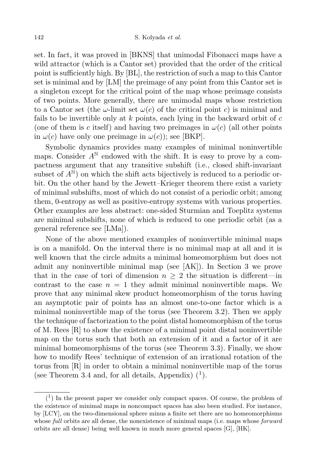set. In fact, it was proved in [BKNS] that unimodal Fibonacci maps have a wild attractor (which is a Cantor set) provided that the order of the critical point is sufficiently high. By [BL], the restriction of such a map to this Cantor set is minimal and by [LM] the preimage of any point from this Cantor set is a singleton except for the critical point of the map whose preimage consists of two points. More generally, there are unimodal maps whose restriction to a Cantor set (the  $\omega$ -limit set  $\omega(c)$  of the critical point *c*) is minimal and fails to be invertible only at *k* points, each lying in the backward orbit of *c* (one of them is *c* itself) and having two preimages in  $\omega(c)$  (all other points in  $\omega(c)$  have only one preimage in  $\omega(c)$ ; see [BKP].

Symbolic dynamics provides many examples of minimal noninvertible maps. Consider  $A^N$  endowed with the shift. It is easy to prove by a compactness argument that any transitive subshift (i.e., closed shift-invariant subset of  $A^N$ ) on which the shift acts bijectively is reduced to a periodic orbit. On the other hand by the Jewett–Krieger theorem there exist a variety of minimal subshifts, most of which do not consist of a periodic orbit; among them, 0-entropy as well as positive-entropy systems with various properties. Other examples are less abstract: one-sided Sturmian and Toeplitz systems are minimal subshifts, none of which is reduced to one periodic orbit (as a general reference see [LMa]).

None of the above mentioned examples of noninvertible minimal maps is on a manifold. On the interval there is no minimal map at all and it is well known that the circle admits a minimal homeomorphism but does not admit any noninvertible minimal map (see [AK]). In Section 3 we prove that in the case of tori of dimension  $n \geq 2$  the situation is different—in contrast to the case  $n = 1$  they admit minimal noninvertible maps. We prove that any minimal skew product homeomorphism of the torus having an asymptotic pair of points has an almost one-to-one factor which is a minimal noninvertible map of the torus (see Theorem 3.2). Then we apply the technique of factorization to the point distal homeomorphism of the torus of M. Rees  $[R]$  to show the existence of a minimal point distal noninvertible map on the torus such that both an extension of it and a factor of it are minimal homeomorphisms of the torus (see Theorem 3.3). Finally, we show how to modify Rees' technique of extension of an irrational rotation of the torus from [R] in order to obtain a minimal noninvertible map of the torus (see Theorem 3.4 and, for all details, Appendix)  $(1)$ .

 $(1)$  In the present paper we consider only compact spaces. Of course, the problem of the existence of minimal maps in noncompact spaces has also been studied. For instance, by [LCY], on the two-dimensional sphere minus a finite set there are no homeomorphisms whose *full* orbits are all dense, the nonexistence of minimal maps (i.e. maps whose *forward* orbits are all dense) being well known in much more general spaces [G], [HK].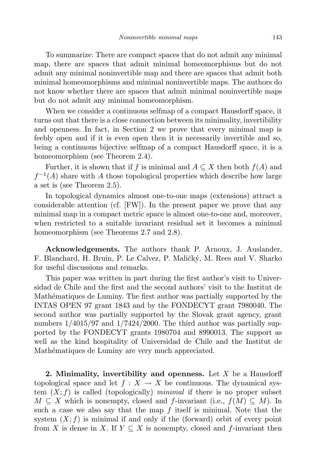To summarize: There are compact spaces that do not admit any minimal map, there are spaces that admit minimal homeomorphisms but do not admit any minimal noninvertible map and there are spaces that admit both minimal homeomorphisms and minimal noninvertible maps. The authors do not know whether there are spaces that admit minimal noninvertible maps but do not admit any minimal homeomorphism.

When we consider a continuous selfmap of a compact Hausdorff space, it turns out that there is a close connection between its minimality, invertibility and openness. In fact, in Section 2 we prove that every minimal map is feebly open and if it is even open then it is necessarily invertible and so, being a continuous bijective selfmap of a compact Hausdorff space, it is a homeomorphism (see Theorem 2.4).

Further, it is shown that if *f* is minimal and  $A \subseteq X$  then both  $f(A)$  and  $f^{-1}(A)$  share with *A* those topological properties which describe how large a set is (see Theorem 2.5).

In topological dynamics almost one-to-one maps (extensions) attract a considerable attention (cf. [FW]). In the present paper we prove that any minimal map in a compact metric space is almost one-to-one and, moreover, when restricted to a suitable invariant residual set it becomes a minimal homeomorphism (see Theorems 2.7 and 2.8).

**Acknowledgements.** The authors thank P. Arnoux, J. Auslander, F. Blanchard, H. Bruin, P. Le Calvez, P. Maličký, M. Rees and V. Sharko for useful discussions and remarks.

This paper was written in part during the first author's visit to Universidad de Chile and the first and the second authors' visit to the Institut de Mathématiques de Luminy. The first author was partially supported by the INTAS OPEN 97 grant 1843 and by the FONDECYT grant 7980040. The second author was partially supported by the Slovak grant agency, grant numbers  $1/4015/97$  and  $1/7424/2000$ . The third author was partially supported by the FONDECYT grants 1980704 and 8990013. The support as well as the kind hospitality of Universidad de Chile and the Institut de Mathématiques de Luminy are very much appreciated.

**2. Minimality, invertibility and openness.** Let *X* be a Hausdorff topological space and let  $f: X \to X$  be continuous. The dynamical system  $(X; f)$  is called (topologically) *minimal* if there is no proper subset  $M \subseteq X$  which is nonempty, closed and *f*-invariant (i.e.,  $f(M) \subseteq M$ ). In such a case we also say that the map *f* itself is minimal. Note that the system  $(X; f)$  is minimal if and only if the (forward) orbit of every point from *X* is dense in *X*. If  $Y \subseteq X$  is nonempty, closed and *f*-invariant then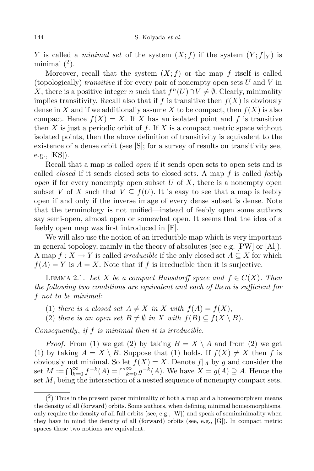*Y* is called a *minimal set* of the system  $(X; f)$  if the system  $(Y; f|_Y)$  is minimal  $(2)$ .

Moreover, recall that the system  $(X; f)$  or the map  $f$  itself is called (topologically) *transitive* if for every pair of nonempty open sets *U* and *V* in *X*, there is a positive integer *n* such that  $f^{n}(U) \cap V \neq \emptyset$ . Clearly, minimality implies transitivity. Recall also that if  $f$  is transitive then  $f(X)$  is obviously dense in *X* and if we additionally assume *X* to be compact, then  $f(X)$  is also compact. Hence  $f(X) = X$ . If X has an isolated point and f is transitive then *X* is just a periodic orbit of *f*. If *X* is a compact metric space without isolated points, then the above definition of transitivity is equivalent to the existence of a dense orbit (see [S]; for a survey of results on transitivity see, e.g., [KS]).

Recall that a map is called *open* if it sends open sets to open sets and is called *closed* if it sends closed sets to closed sets. A map *f* is called *feebly open* if for every nonempty open subset *U* of *X*, there is a nonempty open subset *V* of *X* such that  $V \subseteq f(U)$ . It is easy to see that a map is feebly open if and only if the inverse image of every dense subset is dense. Note that the terminology is not unified—instead of feebly open some authors say semi-open, almost open or somewhat open. It seems that the idea of a feebly open map was first introduced in [F].

We will also use the notion of an irreducible map which is very important in general topology, mainly in the theory of absolutes (see e.g. [PW] or [Al]). A map  $f: X \to Y$  is called *irreducible* if the only closed set  $A \subseteq X$  for which  $f(A) = Y$  is  $A = X$ . Note that if f is irreducible then it is surjective.

LEMMA 2.1. Let *X* be a compact Hausdorff space and  $f \in C(X)$ . Then *the following two conditions are equivalent and each of them is sufficient for f not to be minimal*:

- (1) *there is a closed set*  $A \neq X$  *in*  $X$  *with*  $f(A) = f(X)$ ,
- (2) *there is* an *open set*  $B \neq \emptyset$  *in X with*  $f(B) \subseteq f(X \setminus B)$ .

*Consequently*, *if f is minimal then it is irreducible.*

*Proof.* From (1) we get (2) by taking  $B = X \setminus A$  and from (2) we get (1) by taking  $A = X \setminus B$ . Suppose that (1) holds. If  $f(X) \neq X$  then *f* is obviously not minimal. So let  $f(X) = X$ . Denote  $f|_A$  by g and consider the set  $M := \bigcap_{k=0}^{\infty} f^{-k}(A) = \bigcap_{k=0}^{\infty} g^{-k}(A)$ . We have  $X = g(A) \supseteq A$ . Hence the set *M*, being the intersection of a nested sequence of nonempty compact sets,

 $(2)$  Thus in the present paper minimality of both a map and a homeomorphism means the density of all (forward) orbits. Some authors, when defining minimal homeomorphisms, only require the density of all full orbits (see, e.g., [W]) and speak of semiminimality when they have in mind the density of all (forward) orbits (see, e.g., [G]). In compact metric spaces these two notions are equivalent.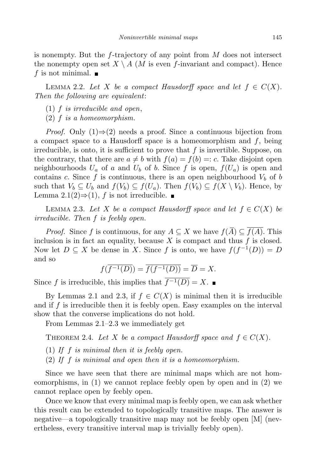is nonempty. But the *f*-trajectory of any point from *M* does not intersect the nonempty open set  $X \setminus A$  (*M* is even *f*-invariant and compact). Hence *f* is not minimal.  $\blacksquare$ 

LEMMA 2.2. Let *X* be a compact Hausdorff space and let  $f \in C(X)$ . *Then the following are equivalent*:

- (1) *f is irreducible and open*,
- (2) *f is a homeomorphism.*

*Proof.* Only (1)⇒(2) needs a proof. Since a continuous bijection from a compact space to a Hausdorff space is a homeomorphism and *f*, being irreducible, is onto, it is sufficient to prove that *f* is invertible. Suppose, on the contrary, that there are  $a \neq b$  with  $f(a) = f(b) =: c$ . Take disjoint open neighbourhoods  $U_a$  of *a* and  $U_b$  of *b*. Since *f* is open,  $f(U_a)$  is open and contains *c*. Since  $f$  is continuous, there is an open neighbourhood  $V_b$  of  $b$ such that  $V_b \subseteq U_b$  and  $f(V_b) \subseteq f(U_a)$ . Then  $f(V_b) \subseteq f(X \setminus V_b)$ . Hence, by Lemma 2.1(2) $\Rightarrow$ (1), *f* is not irreducible. ■

LEMMA 2.3. Let *X* be a compact Hausdorff space and let  $f \in C(X)$  be *irreducible. Then f is feebly open.*

*Proof.* Since *f* is continuous, for any  $A \subseteq X$  we have  $f(\overline{A}) \subseteq f(A)$ . This inclusion is in fact an equality, because *X* is compact and thus *f* is closed. Now let  $D \subseteq X$  be dense in *X*. Since *f* is onto, we have  $f(f^{-1}(D)) = D$ and so

$$
f(\overline{f^{-1}(D)}) = \overline{f(f^{-1}(D))} = \overline{D} = X.
$$

Since *f* is irreducible, this implies that  $\overline{f^{-1}(D)} = X$ . ■

By Lemmas 2.1 and 2.3, if  $f \in C(X)$  is minimal then it is irreducible and if *f* is irreducible then it is feebly open. Easy examples on the interval show that the converse implications do not hold.

From Lemmas 2.1–2.3 we immediately get

THEOREM 2.4. Let *X* be a compact Hausdorff space and  $f \in C(X)$ .

- (1) *If f is minimal then it is feebly open.*
- (2) *If f is minimal and open then it is a homeomorphism.*

Since we have seen that there are minimal maps which are not homeomorphisms, in (1) we cannot replace feebly open by open and in (2) we cannot replace open by feebly open.

Once we know that every minimal map is feebly open, we can ask whether this result can be extended to topologically transitive maps. The answer is negative—a topologically transitive map may not be feebly open [M] (nevertheless, every transitive interval map is trivially feebly open).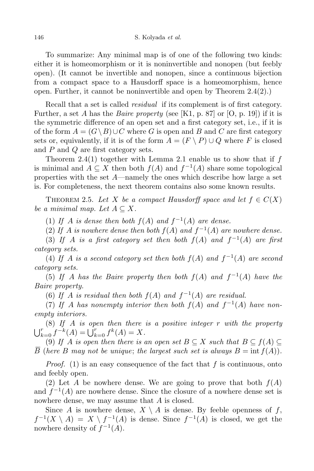To summarize: Any minimal map is of one of the following two kinds: either it is homeomorphism or it is noninvertible and nonopen (but feebly open). (It cannot be invertible and nonopen, since a continuous bijection from a compact space to a Hausdorff space is a homeomorphism, hence open. Further, it cannot be noninvertible and open by Theorem 2.4(2).)

Recall that a set is called *residual* if its complement is of first category. Further, a set *A* has the *Baire property* (see [K1, p. 87] or [O, p. 19]) if it is the symmetric difference of an open set and a first category set, i.e., if it is of the form  $A = (G \setminus B) \cup C$  where *G* is open and *B* and *C* are first category sets or, equivalently, if it is of the form  $A = (F \setminus P) \cup Q$  where *F* is closed and *P* and *Q* are first category sets.

Theorem 2.4(1) together with Lemma 2.1 enable us to show that if *f* is minimal and  $A \subseteq X$  then both  $f(A)$  and  $f^{-1}(A)$  share some topological properties with the set *A*—namely the ones which describe how large a set is. For completeness, the next theorem contains also some known results.

THEOREM 2.5. Let *X* be a compact Hausdorff space and let  $f \in C(X)$ *be a minimal map. Let*  $A \subseteq X$ *.* 

(1) If *A* is dense then both  $f(A)$  and  $f^{-1}(A)$  are dense.

(2) If *A* is nowhere dense then both  $f(A)$  and  $f^{-1}(A)$  are nowhere dense.

(3) If *A* is a first category set then both  $f(A)$  and  $f^{-1}(A)$  are first *category sets.*

(4) If *A* is a second category set then both  $f(A)$  and  $f^{-1}(A)$  are second *category sets.*

(5) If *A* has the Baire property then both  $f(A)$  and  $f^{-1}(A)$  have the *Baire property.*

(6) If *A* is residual then both  $f(A)$  and  $f^{-1}(A)$  are residual.

(7) If *A* has nonempty interior then both  $f(A)$  and  $f^{-1}(A)$  have non*empty interiors.*

(8) *If A is open then there is a positive integer r with the property*  $\bigcup_{k=0}^{r} f^{-k}(A) = \bigcup_{k=0}^{r} f^{k}(A) = X.$ 

(9) If *A* is open then there is an open set  $B \subseteq X$  such that  $B \subseteq f(A) \subseteq$ *B* (*here B may not be unique*; *the largest such set is always*  $B = \text{int } f(A)$ *.* 

*Proof.* (1) is an easy consequence of the fact that *f* is continuous, onto and feebly open.

(2) Let *A* be nowhere dense. We are going to prove that both  $f(A)$ and  $f^{-1}(A)$  are nowhere dense. Since the closure of a nowhere dense set is nowhere dense, we may assume that *A* is closed.

Since *A* is nowhere dense,  $X \setminus A$  is dense. By feeble openness of *f*,  $f^{-1}(X \setminus A) = X \setminus f^{-1}(A)$  is dense. Since  $f^{-1}(A)$  is closed, we get the nowhere density of  $f^{-1}(A)$ .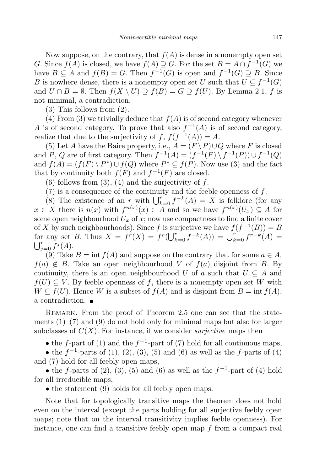Now suppose, on the contrary, that  $f(A)$  is dense in a nonempty open set *G*. Since  $f(A)$  is closed, we have  $f(A) \supseteq G$ . For the set  $B = A \cap f^{-1}(G)$  we have  $B \subseteq A$  and  $f(B) = G$ . Then  $f^{-1}(G)$  is open and  $f^{-1}(G) \supseteq B$ . Since *B* is nowhere dense, there is a nonempty open set *U* such that  $U \subseteq f^{-1}(G)$ and  $U \cap B = \emptyset$ . Then  $f(X \setminus U) \supseteq f(B) = G \supseteq f(U)$ . By Lemma 2.1, *f* is not minimal, a contradiction.

(3) This follows from (2).

(4) From (3) we trivially deduce that  $f(A)$  is of second category whenever *A* is of second category. To prove that also  $f^{-1}(A)$  is of second category, realize that due to the surjectivity of  $f$ ,  $f(f^{-1}(A)) = A$ .

(5) Let *A* have the Baire property, i.e.,  $A = (F \setminus P) \cup Q$  where *F* is closed and *P*, *Q* are of first category. Then  $f^{-1}(A) = (f^{-1}(F) \setminus f^{-1}(P)) \cup f^{-1}(Q)$ and  $f(A) = (f(F) \setminus P^*) \cup f(Q)$  where  $P^* \subseteq f(P)$ . Now use (3) and the fact that by continuity both  $f(F)$  and  $f^{-1}(F)$  are closed.

(6) follows from (3), (4) and the surjectivity of *f*.

(7) is a consequence of the continuity and the feeble openness of *f*.

(8) The existence of an *r* with  $\bigcup_{k=0}^{r} f^{-k}(A) = X$  is folklore (for any  $x \in X$  there is  $n(x)$  with  $f^{n(x)}(x) \in A$  and so we have  $f^{n(x)}(U_x) \subseteq A$  for some open neighbourhood  $U_x$  of  $x$ ; now use compactness to find a finite cover of *X* by such neighbourhoods). Since *f* is surjective we have  $f(f^{-1}(B)) = B$ for any set B. Thus  $X = f^r(X) = f^r(\bigcup_{k=0}^r f^{-k}(A)) = \bigcup_{k=0}^r f^{r-k}(A) = \bigcup_{k=0}^r f^j(A)$ .  $f_{j=0}^{r} f^{j}(A).$ 

(9) Take  $B = \text{int } f(A)$  and suppose on the contrary that for some  $a \in A$ , *f*(*a*)  $\notin \overline{B}$ . Take an open neighbourhood *V* of *f*(*a*) disjoint from *B*. By continuity, there is an open neighbourhood *U* of *a* such that  $U \subseteq A$  and  $f(U) \subseteq V$ . By feeble openness of *f*, there is a nonempty open set *W* with  $W \subseteq f(U)$ . Hence *W* is a subset of  $f(A)$  and is disjoint from  $B = \text{int } f(A)$ , a contradiction.

REMARK. From the proof of Theorem 2.5 one can see that the statements  $(1)$ – $(7)$  and  $(9)$  do not hold only for minimal maps but also for larger subclasses of  $C(X)$ . For instance, if we consider *surjective* maps then

• the *f*-part of (1) and the *f*<sup>-1</sup>-part of (7) hold for all continuous maps,

*•* the *f −*1 -parts of (1), (2), (3), (5) and (6) as well as the *f*-parts of (4) and (7) hold for all feebly open maps,

*•* the *f*-parts of (2), (3), (5) and (6) as well as the *f −*1 -part of (4) hold for all irreducible maps,

• the statement (9) holds for all feebly open maps.

Note that for topologically transitive maps the theorem does not hold even on the interval (except the parts holding for all surjective feebly open maps; note that on the interval transitivity implies feeble openness). For instance, one can find a transitive feebly open map *f* from a compact real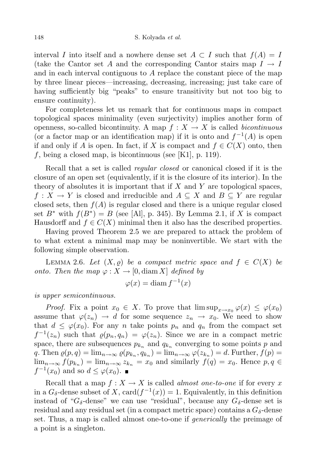interval *I* into itself and a nowhere dense set  $A \subset I$  such that  $f(A) = I$ (take the Cantor set *A* and the corresponding Cantor stairs map  $I \rightarrow I$ and in each interval contiguous to *A* replace the constant piece of the map by three linear pieces—increasing, decreasing, increasing; just take care of having sufficiently big "peaks" to ensure transitivity but not too big to ensure continuity).

For completeness let us remark that for continuous maps in compact topological spaces minimality (even surjectivity) implies another form of openness, so-called bicontinuity. A map  $f: X \to X$  is called *bicontinuous* (or a factor map or an identification map) if it is onto and  $f^{-1}(A)$  is open if and only if *A* is open. In fact, if *X* is compact and  $f \in C(X)$  onto, then *f*, being a closed map, is bicontinuous (see [K1], p. 119).

Recall that a set is called *regular closed* or canonical closed if it is the closure of an open set (equivalently, if it is the closure of its interior). In the theory of absolutes it is important that if *X* and *Y* are topological spaces,  $f: X \to Y$  is closed and irreducible and  $A \subseteq X$  and  $B \subseteq Y$  are regular closed sets, then  $f(A)$  is regular closed and there is a unique regular closed set  $B^*$  with  $f(B^*) = B$  (see [Al], p. 345). By Lemma 2.1, if *X* is compact Hausdorff and  $f \in C(X)$  minimal then it also has the described properties.

Having proved Theorem 2.5 we are prepared to attack the problem of to what extent a minimal map may be noninvertible. We start with the following simple observation.

LEMMA 2.6. Let  $(X, \rho)$  be a compact metric space and  $f \in C(X)$  be *onto.* Then the map  $\varphi: X \to [0, \text{diam } X]$  defined by

$$
\varphi(x) = \text{diam}\, f^{-1}(x)
$$

*is upper semicontinuous.*

*Proof.* Fix a point  $x_0 \in X$ . To prove that  $\limsup_{x\to x_0} \varphi(x) \leq \varphi(x_0)$ assume that  $\varphi(z_n) \to d$  for some sequence  $z_n \to x_0$ . We need to show that  $d \leq \varphi(x_0)$ . For any *n* take points  $p_n$  and  $q_n$  from the compact set  $f^{-1}(z_n)$  such that  $\varrho(p_n, q_n) = \varphi(z_n)$ . Since we are in a compact metric space, there are subsequences  $p_{k_n}$  and  $q_{k_n}$  converging to some points  $p$  and q. Then  $\varrho(p,q) = \lim_{n \to \infty} \varrho(p_{k_n}, q_{k_n}) = \lim_{n \to \infty} \varphi(z_{k_n}) = d$ . Further,  $f(p) =$  $\lim_{n\to\infty} f(p_{k_n}) = \lim_{n\to\infty} z_{k_n} = x_0$  and similarly  $f(q) = x_0$ . Hence  $p, q \in$  $f^{-1}(x_0)$  and so  $d \leq \varphi(x_0)$ .

Recall that a map  $f: X \to X$  is called *almost one-to-one* if for every x in a  $G_{\delta}$ -dense subset of *X*, card $(f^{-1}(x)) = 1$ . Equivalently, in this definition instead of " $G_{\delta}$ -dense" we can use "residual", because any  $G_{\delta}$ -dense set is residual and any residual set (in a compact metric space) contains a  $G_{\delta}$ -dense set. Thus, a map is called almost one-to-one if *generically* the preimage of a point is a singleton.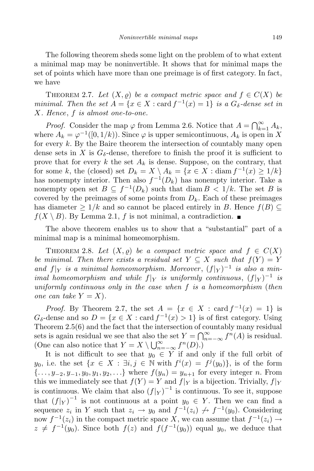The following theorem sheds some light on the problem of to what extent a minimal map may be noninvertible. It shows that for minimal maps the set of points which have more than one preimage is of first category. In fact, we have

THEOREM 2.7. Let  $(X, \rho)$  be a compact metric space and  $f \in C(X)$  be *minimal. Then the set*  $A = \{x \in X : \text{card } f^{-1}(x) = 1\}$  *is* a  $G_{\delta}$ -dense set *in X. Hence*, *f is almost one-to-one.*

*Proof.* Consider the map  $\varphi$  from Lemma 2.6. Notice that  $A = \bigcap_{k=1}^{\infty} A_k$ , where  $A_k = \varphi^{-1}([0, 1/k))$ . Since  $\varphi$  is upper semicontinuous,  $A_k$  is open in X for every *k*. By the Baire theorem the intersection of countably many open dense sets in X is  $G_{\delta}$ -dense, therefore to finish the proof it is sufficient to prove that for every *k* the set *A<sup>k</sup>* is dense. Suppose, on the contrary, that for some *k*, the (closed) set  $D_k = X \setminus A_k = \{x \in X : \text{diam } f^{-1}(x) \ge 1/k\}$ has nonempty interior. Then also  $f^{-1}(D_k)$  has nonempty interior. Take a nonempty open set  $B \subseteq f^{-1}(D_k)$  such that diam  $B < 1/k$ . The set *B* is covered by the preimages of some points from  $D_k$ . Each of these preimages has diameter  $\geq 1/k$  and so cannot be placed entirely in *B*. Hence  $f(B) \subseteq$  $f(X \setminus B)$ . By Lemma 2.1, *f* is not minimal, a contradiction.

The above theorem enables us to show that a "substantial" part of a minimal map is a minimal homeomorphism.

THEOREM 2.8. Let  $(X, \rho)$  be a compact metric space and  $f \in C(X)$ *be minimal.* Then there exists a residual set  $Y \subseteq X$  such that  $f(Y) = Y$ *and*  $f|_Y$  *is a minimal homeomorphism. Moreover*,  $(f|_Y)^{-1}$  *is also a minimal homeomorphism and while*  $f|_Y$  *is uniformly continuous*,  $(f|_Y)^{-1}$  *is uniformly continuous only in the case when f is a homeomorphism* (*then one can take*  $Y = X$ *)*.

*Proof.* By Theorem 2.7, the set  $A = \{x \in X : \text{card } f^{-1}(x) = 1\}$  is  $G_{\delta}$ -dense and so  $D = \{x \in X : \text{card } f^{-1}(x) > 1\}$  is of first category. Using Theorem 2.5(6) and the fact that the intersection of countably many residual sets is again residual we see that also the set  $Y = \bigcap_{n=-\infty}^{\infty} f^n(A)$  is residual. (One can also notice that  $Y = X \setminus \bigcup_{n=-\infty}^{\infty} f^n(D)$ .)

It is not difficult to see that  $y_0 \in Y$  if and only if the full orbit of *y*<sub>0</sub>, i.e. the set  $\{x \in X : \exists i, j \in \mathbb{N} \text{ with } f^i(x) = f^j(y_0)\}\)$ , is of the form  $\{..., y_{-2}, y_{-1}, y_0, y_1, y_2, ...\}$  where  $f(y_n) = y_{n+1}$  for every integer *n*. From this we immediately see that  $f(Y) = Y$  and  $f|_Y$  is a bijection. Trivially,  $f|_Y$ is continuous. We claim that also  $(f|_Y)^{-1}$  is continuous. To see it, suppose that  $(f|_Y)^{-1}$  is not continuous at a point  $y_0 \in Y$ . Then we can find a sequence  $z_i$  in *Y* such that  $z_i \to y_0$  and  $f^{-1}(z_i) \not\to f^{-1}(y_0)$ . Considering now  $f^{-1}(z_i)$  in the compact metric space *X*, we can assume that  $f^{-1}(z_i) \rightarrow$  $z \neq f^{-1}(y_0)$ . Since both  $f(z)$  and  $f(f^{-1}(y_0))$  equal  $y_0$ , we deduce that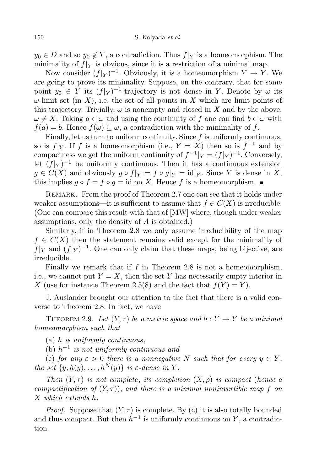$y_0 \in D$  and so  $y_0 \notin Y$ , a contradiction. Thus  $f|_Y$  is a homeomorphism. The minimality of  $f|_Y$  is obvious, since it is a restriction of a minimal map.

Now consider  $(f|_Y)^{-1}$ . Obviously, it is a homeomorphism  $Y \to Y$ . We are going to prove its minimality. Suppose, on the contrary, that for some point  $y_0 \in Y$  its  $(f|_Y)^{-1}$ -trajectory is not dense in *Y*. Denote by  $\omega$  its  $\omega$ -limit set (in *X*), i.e. the set of all points in *X* which are limit points of this trajectory. Trivially,  $\omega$  is nonempty and closed in X and by the above,  $\omega \neq X$ . Taking  $a \in \omega$  and using the continuity of *f* one can find  $b \in \omega$  with  $f(a) = b$ . Hence  $f(\omega) \subset \omega$ , a contradiction with the minimality of f.

Finally, let us turn to uniform continuity. Since *f* is uniformly continuous, so is  $f|_Y$ . If *f* is a homeomorphism (i.e.,  $Y = X$ ) then so is  $f^{-1}$  and by compactness we get the uniform continuity of  $f^{-1}|_Y = (f|_Y)^{-1}$ . Conversely, let  $(f|_Y)^{-1}$  be uniformly continuous. Then it has a continuous extension  $g \in C(X)$  and obviously  $g \circ f|_Y = f \circ g|_Y = id|_Y$ . Since *Y* is dense in *X*, this implies  $g \circ f = f \circ g = id$  on *X*. Hence *f* is a homeomorphism. ■

REMARK. From the proof of Theorem 2.7 one can see that it holds under weaker assumptions—it is sufficient to assume that  $f \in C(X)$  is irreducible. (One can compare this result with that of [MW] where, though under weaker assumptions, only the density of *A* is obtained.)

Similarly, if in Theorem 2.8 we only assume irreducibility of the map  $f \in C(X)$  then the statement remains valid except for the minimality of  $f|_Y$  and  $(f|_Y)^{-1}$ . One can only claim that these maps, being bijective, are irreducible.

Finally we remark that if *f* in Theorem 2.8 is not a homeomorphism, i.e., we cannot put  $Y = X$ , then the set Y has necessarily empty interior in *X* (use for instance Theorem 2.5(8) and the fact that  $f(Y) = Y$ .

J. Auslander brought our attention to the fact that there is a valid converse to Theorem 2.8. In fact, we have

THEOREM 2.9. Let  $(Y, \tau)$  be a metric space and  $h: Y \to Y$  be a minimal *homeomorphism such that*

(a) *h is uniformly continuous*,

(b) *h −*1 *is not uniformly continuous and*

(c) *for*  $any \varepsilon > 0$  *there is a nonnegative N such that for every*  $y \in Y$ , *the set*  $\{y, h(y), \ldots, h^N(y)\}$  *is*  $\varepsilon$ *-dense in*  $Y$ *.* 

*Then*  $(Y, \tau)$  *is not complete, its completion*  $(X, \varrho)$  *is compact* (*hence a compactification* of  $(Y, \tau)$ , and there is a minimal noninvertible map f on *X which extends h.*

*Proof.* Suppose that  $(Y, \tau)$  is complete. By (c) it is also totally bounded and thus compact. But then  $h^{-1}$  is uniformly continuous on *Y*, a contradiction.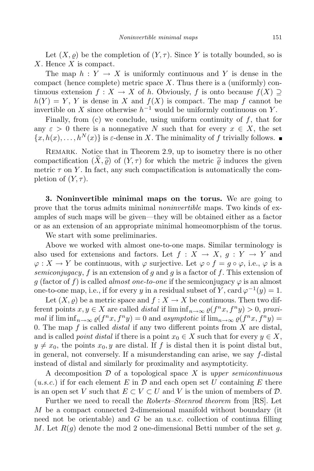Let  $(X, \rho)$  be the completion of  $(Y, \tau)$ . Since Y is totally bounded, so is *X*. Hence *X* is compact.

The map  $h: Y \to X$  is uniformly continuous and Y is dense in the compact (hence complete) metric space *X*. Thus there is a (uniformly) continuous extension  $f: X \to X$  of *h*. Obviously, *f* is onto because  $f(X) \supset$  $h(Y) = Y$ , *Y* is dense in *X* and  $f(X)$  is compact. The map *f* cannot be invertible on *X* since otherwise  $h^{-1}$  would be uniformly continuous on *Y*.

Finally, from (c) we conclude, using uniform continuity of *f*, that for any  $\varepsilon > 0$  there is a nonnegative *N* such that for every  $x \in X$ , the set  ${x, h(x), \ldots, h^N(x)}$  is *ε*-dense in *X*. The minimality of *f* trivially follows.

REMARK. Notice that in Theorem 2.9, up to isometry there is no other compactification  $(X, \tilde{\rho})$  of  $(Y, \tau)$  for which the metric  $\tilde{\rho}$  induces the given metric  $\tau$  on Y. In fact, any such compactification is automatically the completion of  $(Y, \tau)$ .

**3. Noninvertible minimal maps on the torus.** We are going to prove that the torus admits minimal *noninvertible* maps. Two kinds of examples of such maps will be given—they will be obtained either as a factor or as an extension of an appropriate minimal homeomorphism of the torus.

We start with some preliminaries.

Above we worked with almost one-to-one maps. Similar terminology is also used for extensions and factors. Let  $f: X \to X$ ,  $g: Y \to Y$  and  $\varphi: X \to Y$  be continuous, with  $\varphi$  surjective. Let  $\varphi \circ f = g \circ \varphi$ , i.e.,  $\varphi$  is a *semiconjugacy*, *f* is an extension of *g* and *g* is a factor of *f*. This extension of *g* (factor of *f*) is called *almost one-to-one* if the semiconjugacy  $\varphi$  is an almost one-to-one map, i.e., if for every *y* in a residual subset of *Y*, card  $\varphi^{-1}(y) = 1$ .

Let  $(X, \varrho)$  be a metric space and  $f : X \to X$  be continuous. Then two different points  $x, y \in X$  are called *distal* if  $\liminf_{n \to \infty} \varrho(f^n x, f^n y) > 0$ , proxi*mal* if  $\lim_{n\to\infty} \varrho(f^n x, f^n y) = 0$  and *asymptotic* if  $\lim_{n\to\infty} \varrho(f^n x, f^n y) = 0$ 0. The map *f* is called *distal* if any two different points from *X* are distal, and is called *point distal* if there is a point  $x_0 \in X$  such that for every  $y \in X$ ,  $y \neq x_0$ , the points  $x_0, y$  are distal. If f is distal then it is point distal but, in general, not conversely. If a misunderstanding can arise, we say *f*-distal instead of distal and similarly for proximality and asymptoticity.

A decomposition *D* of a topological space *X* is *upper semicontinuous*  $(u.s.c.)$  if for each element  $E$  in  $\mathcal D$  and each open set  $U$  containing  $E$  there is an open set *V* such that  $E \subset V \subset U$  and *V* is the union of members of  $\mathcal{D}$ .

Further we need to recall the *Roberts–Steenrod theorem* from [RS]. Let *M* be a compact connected 2-dimensional manifold without boundary (it need not be orientable) and *G* be an u.s.c. collection of continua filling *M*. Let *R*(*g*) denote the mod 2 one-dimensional Betti number of the set *g*.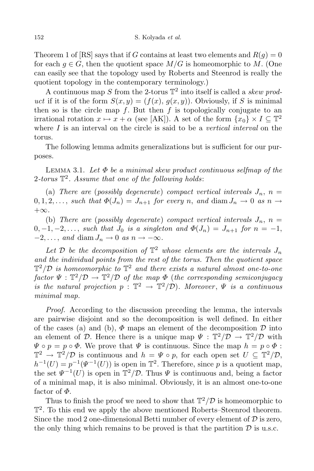Theorem 1 of [RS] says that if *G* contains at least two elements and  $R(q) = 0$ for each  $g \in G$ , then the quotient space  $M/G$  is homeomorphic to M. (One can easily see that the topology used by Roberts and Steenrod is really the quotient topology in the contemporary terminology.)

A continuous map *S* from the 2-torus T 2 into itself is called a *skew product* if it is of the form  $S(x, y) = (f(x), g(x, y))$ . Obviously, if *S* is minimal then so is the circle map  $f$ . But then  $f$  is topologically conjugate to an irrational rotation  $x \mapsto x + \alpha$  (see [AK]). A set of the form  $\{x_0\} \times I \subseteq \mathbb{T}^2$ where *I* is an interval on the circle is said to be a *vertical interval* on the torus.

The following lemma admits generalizations but is sufficient for our purposes.

Lemma 3.1. *Let Φ be a minimal skew product continuous selfmap of the* 2*-torus* T 2 *. Assume that one of the following holds*:

(a) *There are* (*possibly degenerate*) *compact vertical intervals*  $J_n$ ,  $n =$  $0, 1, 2, \ldots$ , such that  $\Phi(J_n) = J_{n+1}$  for every n, and diam  $J_n \to 0$  as  $n \to \infty$ +*∞.*

(b) *There are* (*possibly degenerate*) *compact vertical intervals*  $J_n$ ,  $n =$  $0, -1, -2, \ldots$ , such that  $J_0$  is a singleton and  $\Phi(J_n) = J_{n+1}$  for  $n = -1$ ,  $-2, \ldots$ , and diam  $J_n \to 0$  *as*  $n \to -\infty$ .

Let  $D$  be the decomposition of  $\mathbb{T}^2$  whose elements are the intervals  $J_n$ *and the individual points from the rest of the torus. Then the quotient space*  $\mathbb{T}^2/\mathcal{D}$  *is homeomorphic to*  $\mathbb{T}^2$  *and there exists a natural almost one-to-one*  $factor \Psi : \mathbb{T}^2/\mathcal{D} \to \mathbb{T}^2/\mathcal{D}$  *of the map*  $\Phi$  (*the corresponding semiconjugacy is* the natural projection  $p : \mathbb{T}^2 \to \mathbb{T}^2/\mathcal{D}$ ). Moreover,  $\Psi$  is a continuous *minimal map.*

*Proof.* According to the discussion preceding the lemma, the intervals are pairwise disjoint and so the decomposition is well defined. In either of the cases (a) and (b),  $\Phi$  maps an element of the decomposition  $\mathcal D$  into an element of *D*. Hence there is a unique map  $\Psi : \mathbb{T}^2/\mathcal{D} \to \mathbb{T}^2/\mathcal{D}$  with  $\Psi \circ p = p \circ \Phi$ . We prove that  $\Psi$  is continuous. Since the map  $h = p \circ \Phi$ :  $\mathbb{T}^2 \to \mathbb{T}^2/\mathcal{D}$  is continuous and  $h = \Psi \circ p$ , for each open set  $U \subseteq \mathbb{T}^2/\mathcal{D}$ ,  $h^{-1}(U) = p^{-1}(\Psi^{-1}(U))$  is open in  $\mathbb{T}^2$ . Therefore, since *p* is a quotient map, the set  $\Psi^{-1}(U)$  is open in  $\mathbb{T}^2/\mathcal{D}$ . Thus  $\Psi$  is continuous and, being a factor of a minimal map, it is also minimal. Obviously, it is an almost one-to-one factor of *Φ*.

Thus to finish the proof we need to show that  $\mathbb{T}^2/\mathcal{D}$  is homeomorphic to  $\mathbb{T}^2$ . To this end we apply the above mentioned Roberts–Steenrod theorem. Since the mod 2 one-dimensional Betti number of every element of *D* is zero, the only thing which remains to be proved is that the partition  $D$  is u.s.c.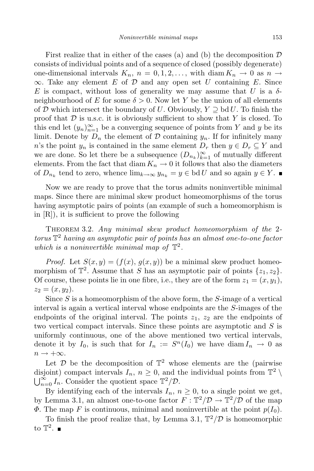First realize that in either of the cases (a) and (b) the decomposition *D* consists of individual points and of a sequence of closed (possibly degenerate) one-dimensional intervals  $K_n$ ,  $n = 0, 1, 2, \ldots$ , with diam  $K_n \to 0$  as  $n \to \infty$ *∞*. Take any element *E* of *D* and any open set *U* containing *E*. Since *E* is compact, without loss of generality we may assume that *U* is a  $\delta$ neighbourhood of *E* for some  $\delta > 0$ . Now let *Y* be the union of all elements of *D* which intersect the boundary of *U*. Obviously,  $Y \supseteq \text{bd } U$ . To finish the proof that *D* is u.s.c. it is obviously sufficient to show that *Y* is closed. To this end let  $(y_n)_{n=1}^{\infty}$  be a converging sequence of points from *Y* and *y* be its limit. Denote by  $D_n$  the element of  $D$  containing  $y_n$ . If for infinitely many *n*'s the point  $y_n$  is contained in the same element  $D_r$  then  $y \in D_r \subseteq Y$  and we are done. So let there be a subsequence  $(D_{n_k})_{k=1}^{\infty}$  of mutually different elements. From the fact that diam  $K_n \to 0$  it follows that also the diameters of  $D_{n_k}$  tend to zero, whence  $\lim_{k\to\infty} y_{n_k} = y \in \text{bd } U$  and so again  $y \in Y$ .

Now we are ready to prove that the torus admits noninvertible minimal maps. Since there are minimal skew product homeomorphisms of the torus having asymptotic pairs of points (an example of such a homeomorphism is in [R]), it is sufficient to prove the following

Theorem 3.2. *Any minimal skew product homeomorphism of the* 2 *torus* T <sup>2</sup> *having an asymptotic pair of points has an almost one-to-one factor which is a noninvertible minimal map of*  $\mathbb{T}^2$ .

*Proof.* Let  $S(x, y) = (f(x), g(x, y))$  be a minimal skew product homeomorphism of  $\mathbb{T}^2$ . Assume that *S* has an asymptotic pair of points  $\{z_1, z_2\}$ . Of course, these points lie in one fibre, i.e., they are of the form  $z_1 = (x, y_1)$ ,  $z_2 = (x, y_2).$ 

Since *S* is a homeomorphism of the above form, the *S*-image of a vertical interval is again a vertical interval whose endpoints are the *S*-images of the endpoints of the original interval. The points  $z_1$ ,  $z_2$  are the endpoints of two vertical compact intervals. Since these points are asymptotic and *S* is uniformly continuous, one of the above mentioned two vertical intervals, denote it by  $I_0$ , is such that for  $I_n := S^n(I_0)$  we have diam  $I_n \to 0$  as *n →* +*∞*.

Let  $\mathcal{D}$  be the decomposition of  $\mathbb{T}^2$  whose elements are the (pairwise disjoint) compact intervals  $I_n$ ,  $n \geq 0$ , and the individual points from  $\mathbb{T}^2 \setminus \mathbb{R}^2$  $\bigcup_{n=0}^{\infty} I_n$ . Consider the quotient space  $\mathbb{T}^2/\mathcal{D}$ .

By identifying each of the intervals  $I_n$ ,  $n \geq 0$ , to a single point we get, by Lemma 3.1, an almost one-to-one factor  $F : \mathbb{T}^2/\mathcal{D} \to \mathbb{T}^2/\mathcal{D}$  of the map  $\Phi$ . The map *F* is continuous, minimal and noninvertible at the point  $p(I_0)$ .

To finish the proof realize that, by Lemma 3.1,  $\mathbb{T}^2/\mathcal{D}$  is homeomorphic to  $\mathbb{T}^2$ .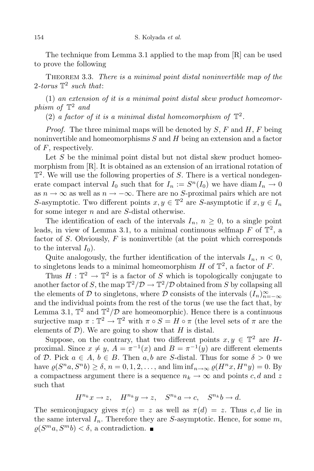The technique from Lemma 3.1 applied to the map from [R] can be used to prove the following

Theorem 3.3. *There is a minimal point distal noninvertible map of the* 2*-torus* T 2 *such that*:

(1) *an extension of it is a minimal point distal skew product homeomorphism of* T <sup>2</sup> *and*

(2) *a factor of it is a minimal distal homeomorphism of*  $\mathbb{T}^2$ .

*Proof.* The three minimal maps will be denoted by *S*, *F* and *H*, *F* being noninvertible and homeomorphisms *S* and *H* being an extension and a factor of *F*, respectively.

Let *S* be the minimal point distal but not distal skew product homeomorphism from [R]. It is obtained as an extension of an irrational rotation of  $\mathbb{T}^2$ . We will use the following properties of *S*. There is a vertical nondegenerate compact interval  $I_0$  such that for  $I_n := S^n(I_0)$  we have diam  $I_n \to 0$ as  $n \to \infty$  as well as  $n \to -\infty$ . There are no *S*-proximal pairs which are not *S*-asymptotic. Two different points  $x, y \in \mathbb{T}^2$  are *S*-asymptotic if  $x, y \in I_n$ for some integer *n* and are *S*-distal otherwise.

The identification of each of the intervals  $I_n$ ,  $n \geq 0$ , to a single point leads, in view of Lemma 3.1, to a minimal continuous selfmap  $F$  of  $\mathbb{T}^2$ , a factor of *S*. Obviously, *F* is noninvertible (at the point which corresponds to the interval  $I_0$ ).

Quite analogously, the further identification of the intervals  $I_n$ ,  $n < 0$ , to singletons leads to a minimal homeomorphism  $H$  of  $\mathbb{T}^2$ , a factor of  $F$ .

Thus  $H: \mathbb{T}^2 \to \mathbb{T}^2$  is a factor of *S* which is topologically conjugate to another factor of *S*, the map  $\mathbb{T}^2/\mathcal{D} \to \mathbb{T}^2/\mathcal{D}$  obtained from *S* by collapsing all the elements of *D* to singletons, where *D* consists of the intervals  $(I_n)_{n=-\infty}^{\infty}$ and the individual points from the rest of the torus (we use the fact that, by Lemma 3.1,  $\mathbb{T}^2$  and  $\mathbb{T}^2/\mathcal{D}$  are homeomorphic). Hence there is a continuous surjective map  $\pi : \mathbb{T}^2 \to \mathbb{T}^2$  with  $\pi \circ S = H \circ \pi$  (the level sets of  $\pi$  are the elements of  $D$ ). We are going to show that *H* is distal.

Suppose, on the contrary, that two different points  $x, y \in \mathbb{T}^2$  are *H*proximal. Since  $x \neq y$ ,  $A = \pi^{-1}(x)$  and  $B = \pi^{-1}(y)$  are different elements of *D*. Pick  $a \in A$ ,  $b \in B$ . Then  $a, b$  are *S*-distal. Thus for some  $\delta > 0$  we have  $\varrho(S^n a, S^n b) \ge \delta$ ,  $n = 0, 1, 2, \dots$ , and  $\liminf_{n \to \infty} \varrho(H^n x, H^n y) = 0$ . By a compactness argument there is a sequence  $n_k \to \infty$  and points *c*, *d* and *z* such that

$$
H^{n_k}x \to z, \quad H^{n_k}y \to z, \quad S^{n_k}a \to c, \quad S^{n_k}b \to d.
$$

The semiconjugacy gives  $\pi(c) = z$  as well as  $\pi(d) = z$ . Thus c, d lie in the same interval  $I_n$ . Therefore they are *S*-asymptotic. Hence, for some  $m$ ,  $\varrho(S^m a, S^m b) < \delta$ , a contradiction.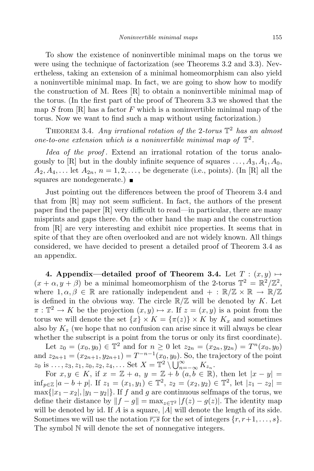To show the existence of noninvertible minimal maps on the torus we were using the technique of factorization (see Theorems 3.2 and 3.3). Nevertheless, taking an extension of a minimal homeomorphism can also yield a noninvertible minimal map. In fact, we are going to show how to modify the construction of M. Rees [R] to obtain a noninvertible minimal map of the torus. (In the first part of the proof of Theorem 3.3 we showed that the map *S* from [R] has a factor *F* which is a noninvertible minimal map of the torus. Now we want to find such a map without using factorization.)

THEOREM 3.4. *Any irrational rotation of the* 2*-torus*  $\mathbb{T}^2$  *has an almost one-to-one extension which is a noninvertible minimal map of*  $\mathbb{T}^2$ *.* 

*Idea of the proof .* Extend an irrational rotation of the torus analogously to [R] but in the doubly infinite sequence of squares  $\dots$ ,  $A_3$ ,  $A_1$ ,  $A_0$ ,  $A_2, A_4, \ldots$  let  $A_{2n}, n = 1, 2, \ldots$ , be degenerate (i.e., points). (In [R] all the squares are nondegenerate.)

Just pointing out the differences between the proof of Theorem 3.4 and that from [R] may not seem sufficient. In fact, the authors of the present paper find the paper [R] very difficult to read—in particular, there are many misprints and gaps there. On the other hand the map and the construction from [R] are very interesting and exhibit nice properties. It seems that in spite of that they are often overlooked and are not widely known. All things considered, we have decided to present a detailed proof of Theorem 3.4 as an appendix.

**4. Appendix—detailed proof** of **Theorem** 3.4. Let  $T : (x, y) \mapsto$  $(x + \alpha, y + \beta)$  be a minimal homeomorphism of the 2-torus  $\mathbb{T}^2 = \mathbb{R}^2/\mathbb{Z}^2$ , where  $1, \alpha, \beta \in \mathbb{R}$  are rationally independent and  $+ : \mathbb{R}/\mathbb{Z} \times \mathbb{R} \to \mathbb{R}/\mathbb{Z}$ is defined in the obvious way. The circle  $\mathbb{R}/\mathbb{Z}$  will be denoted by *K*. Let  $\pi : \mathbb{T}^2 \to K$  be the projection  $(x, y) \mapsto x$ . If  $z = (x, y)$  is a point from the torus we will denote the set  $\{x\} \times K = \{\pi(z)\} \times K$  by  $K_x$  and sometimes also by  $K_z$  (we hope that no confusion can arise since it will always be clear whether the subscript is a point from the torus or only its first coordinate).

Let  $z_0 = (x_0, y_0) \in \mathbb{T}^2$  and for  $n \geq 0$  let  $z_{2n} = (x_{2n}, y_{2n}) = T^n(x_0, y_0)$ and  $z_{2n+1} = (x_{2n+1}, y_{2n+1}) = T^{-n-1}(x_0, y_0)$ . So, the trajectory of the point  $z_0$  is ...,  $z_3, z_1, z_0, z_2, z_4, \ldots$  Set  $X = \mathbb{T}^2 \setminus \bigcup_{n=-\infty}^{\infty} K_{z_n}$ 

For  $x, y \in K$ , if  $x = \mathbb{Z} + a$ ,  $y = \mathbb{Z} + b$   $(a, b \in \mathbb{R})$ , then let  $|x - y| =$  $\inf_{p\in\mathbb{Z}}|a-b+p|$ . If  $z_1=(x_1,y_1)\in\mathbb{T}^2$ ,  $z_2=(x_2,y_2)\in\mathbb{T}^2$ , let  $|z_1-z_2|=$  $\max\{|x_1-x_2|, |y_1-y_2|\}$ . If *f* and *g* are continuous selfmaps of the torus, we define their distance by  $||f - g|| = \max_{z \in \mathbb{T}^2} |f(z) - g(z)|$ . The identity map will be denoted by id. If  $\vec{A}$  is a square,  $|\vec{A}|$  will denote the length of its side. Sometimes we will use the notation  $\overline{r,s}$  for the set of integers  $\{r, r+1, \ldots, s\}$ . The symbol N will denote the set of nonnegative integers.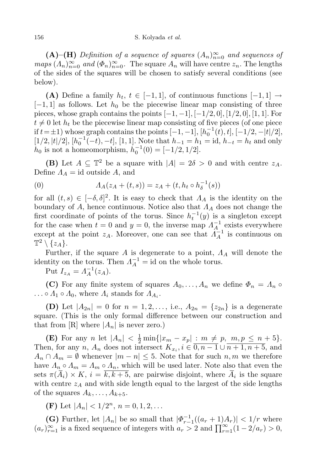## 156 S. Kolyada *et al.*

 $(A)$ – $(H)$  *Definition of a sequence of squares*  $(A_n)_{n=0}^{\infty}$  *and sequences of maps*  $(A_n)_{n=0}^{\infty}$  *and*  $(\Phi_n)_{n=0}^{\infty}$ . The square  $A_n$  will have centre  $z_n$ . The lengths of the sides of the squares will be chosen to satisfy several conditions (see below).

**(A)** Define a family  $h_t$ ,  $t \in [-1,1]$ , of continuous functions  $[-1,1]$  → [*−*1*,* 1] as follows. Let *h*<sup>0</sup> be the piecewise linear map consisting of three pieces, whose graph contains the points [*−*1*, −*1]*,* [*−*1*/*2*,* 0]*,* [1*/*2*,* 0]*,* [1*,* 1]. For  $t \neq 0$  let  $h_t$  be the piecewise linear map consisting of five pieces (of one piece  $\text{if } t = \pm 1 \text{}$  whose graph contains the points  $[-1, -1]$ ,  $[h_0^{-1}(t), t]$ ,  $[-1/2, -|t|/2]$ ,  $[1/2, |t|/2], [h_0^{-1}(-t), -t], [1, 1].$  Note that  $h_{-1} = h_1 = id, h_{-t} = h_t$  and only  $h_0$  is not a homeomorphism,  $h_0^{-1}(0) = [-1/2, 1/2]$ .

**(B)** Let  $A \subseteq \mathbb{T}^2$  be a square with  $|A| = 2\delta > 0$  and with centre  $z_A$ . Define  $\Lambda_A = id$  outside A, and

(0) 
$$
A_A(z_A + (t,s)) = z_A + (t, h_t \circ h_\delta^{-1}(s))
$$

for all  $(t, s) \in [-\delta, \delta]^2$ . It is easy to check that  $\Lambda_A$  is the identity on the boundary of *A*, hence continuous. Notice also that *Λ<sup>A</sup>* does not change the first coordinate of points of the torus. Since  $h_t^{-1}(y)$  is a singleton except for the case when  $t = 0$  and  $y = 0$ , the inverse map  $\Lambda_A^{-1}$  exists everywhere except at the point *z<sub>A</sub>*. Moreover, one can see that  $\tilde{A}^{-1}$  is continuous on  $\mathbb{T}^2 \setminus \{z_A\}.$ 

Further, if the square *A* is degenerate to a point, *Λ<sup>A</sup>* will denote the identity on the torus. Then  $\Lambda_A^{-1} = id$  on the whole torus.

 $Put I_{z_A} = A_A^{-1}(z_A).$ 

**(C)** For any finite system of squares  $A_0, \ldots, A_n$  we define  $\Phi_n = A_n \circ \Phi_n$  $\ldots \circ A_1 \circ A_0$ , where  $A_i$  stands for  $A_{A_i}$ .

**(D)** Let  $|A_{2n}| = 0$  for  $n = 1, 2, \ldots$ , i.e.,  $A_{2n} = \{z_{2n}\}\$ is a degenerate square. (This is the only formal difference between our construction and that from  $[R]$  where  $|A_n|$  is never zero.)

**(E)** For any *n* let  $|A_n| < \frac{1}{2} \min\{|x_m - x_p| : m \neq p, \ m, p \leq n + 5\}.$ Then, for any *n*,  $A_n$  does not intersect  $K_{x_i}$ ,  $i \in \overline{0, n-1} \cup \overline{n+1, n+5}$ , and  $A_n \cap A_m = \emptyset$  whenever  $|m - n| \leq 5$ . Note that for such *n,m* we therefore have  $\Lambda_n \circ \Lambda_m = \Lambda_m \circ \Lambda_n$ , which will be used later. Note also that even the sets  $\pi(A_i) \times K$ ,  $i = k, k+5$ , are pairwise disjoint, where  $A_i$  is the square with centre  $z_A$  and with side length equal to the largest of the side lengths of the squares  $A_k, \ldots, A_{k+5}$ .

**(F)** Let  $|A_n| < 1/2^n$ ,  $n = 0, 1, 2, \ldots$ 

**(G)** Further, let  $|A_n|$  be so small that  $|\Phi_{r-1}^{-1}((a_r+1)A_r)| < 1/r$  where *(a<sub>r</sub>*)<sup>∞</sup><sub>*r*</sub>−1</sub> is a fixed sequence of integers with *a<sub>r</sub>* > 2 and  $\prod_{r=1}^{\infty}(1-2/a_r)$  > 0,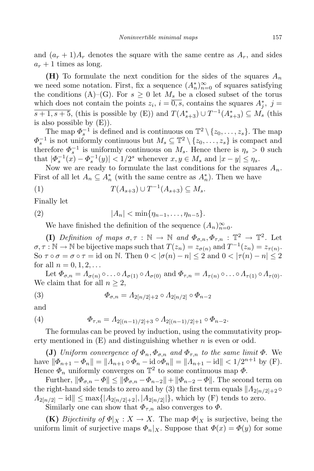and  $(a_r + 1)A_r$  denotes the square with the same centre as  $A_r$ , and sides  $a_r + 1$  times as long.

**(H)** To formulate the next condition for the sides of the squares *A<sup>n</sup>* we need some notation. First, fix a sequence  $(A_n^*)_{n=0}^{\infty}$  of squares satisfying the conditions (A)–(G). For  $s \geq 0$  let  $M_s$  be a closed subset of the torus which does not contain the points  $z_i$ ,  $i = 0$ , *s*, contains the squares  $A_j^*$ ,  $j =$ *s* + 1, *s* + 5, (this is possible by (E)) and  $T(A_{s+3}^*) \cup T^{-1}(A_{s+3}^*) \subseteq M_s$  (this is also possible by  $(E)$ ).

The map  $\Phi_s^{-1}$  is defined and is continuous on  $\mathbb{T}^2 \setminus \{z_0, \ldots, z_s\}$ . The map  $\Phi_s^{-1}$  is not uniformly continuous but  $M_s \subseteq \mathbb{T}^2 \setminus \{z_0, \ldots, z_s\}$  is compact and therefore  $\Phi_s^{-1}$  is uniformly continuous on  $M_s$ . Hence there is  $\eta_s > 0$  such that  $|\Phi_s^{-1}(x) - \Phi_s^{-1}(y)| < 1/2^s$  whenever  $x, y \in M_s$  and  $|x - y| \leq \eta_s$ .

Now we are ready to formulate the last conditions for the squares  $A_n$ . First of all let  $A_n \subseteq A_n^*$  (with the same centre as  $A_n^*$ ). Then we have

(1) 
$$
T(A_{s+3}) \cup T^{-1}(A_{s+3}) \subseteq M_s.
$$

Finally let

(2) 
$$
|A_n| < \min\{\eta_{n-1}, \dots, \eta_{n-5}\}.
$$

We have finished the definition of the sequence  $(A_n)_{n=0}^{\infty}$ .

**(I)** *Definition of maps*  $\sigma, \tau : \mathbb{N} \to \mathbb{N}$  *and*  $\Phi_{\sigma,n}, \Phi_{\tau,n} : \mathbb{T}^2 \to \mathbb{T}^2$ . Let  $\sigma, \tau : \mathbb{N} \to \mathbb{N}$  be bijective maps such that  $T(z_n) = z_{\sigma(n)}$  and  $T^{-1}(z_n) = z_{\tau(n)}$ . So  $\tau \circ \sigma = \sigma \circ \tau = id$  on N. Then  $0 < |\sigma(n) - n| \leq 2$  and  $0 < |\tau(n) - n| \leq 2$ for all  $n = 0, 1, 2, \ldots$ 

Let  $\Phi_{\sigma,n} = \Lambda_{\sigma(n)} \circ \ldots \circ \Lambda_{\sigma(1)} \circ \Lambda_{\sigma(0)}$  and  $\Phi_{\tau,n} = \Lambda_{\tau(n)} \circ \ldots \circ \Lambda_{\tau(1)} \circ \Lambda_{\tau(0)}$ . We claim that for all  $n \geq 2$ ,

(3) 
$$
\Phi_{\sigma,n} = \Lambda_{2[n/2]+2} \circ \Lambda_{2[n/2]} \circ \Phi_{n-2}
$$

and

(4) 
$$
\Phi_{\tau,n} = \Lambda_{2[(n-1)/2]+3} \circ \Lambda_{2[(n-1)/2]+1} \circ \Phi_{n-2}.
$$

The formulas can be proved by induction, using the commutativity property mentioned in (E) and distinguishing whether *n* is even or odd.

**(J)** *Uniform convergence of*  $\Phi_n$ ,  $\Phi_{\sigma,n}$  *and*  $\Phi_{\tau,n}$  *to the same limit*  $\Phi$ . We have  $\|\Phi_{n+1} - \Phi_n\| = \|A_{n+1} \circ \Phi_n - \mathrm{id} \circ \Phi_n\| = \|A_{n+1} - \mathrm{id}\| < 1/2^{n+1}$  by (F). Hence  $\Phi_n$  uniformly converges on  $\mathbb{T}^2$  to some continuous map  $\Phi$ .

Further,  $\|\Phi_{\sigma,n} - \Phi\| \le \|\Phi_{\sigma,n} - \Phi_{n-2}\| + \|\Phi_{n-2} - \Phi\|$ . The second term on the right-hand side tends to zero and by (3) the first term equals  $\Lambda_{2[n/2]+2} \circ$  $A_{2[n/2]} - \text{id} \| \leq \max\{|A_{2[n/2]+2}|, |A_{2[n/2]}|\},\$  which by (F) tends to zero.

Similarly one can show that  $\Phi_{\tau,n}$  also converges to  $\Phi$ .

**(K)** *Bijectivity of*  $\Phi|_X : X \to X$ . The map  $\Phi|_X$  is surjective, being the uniform limit of surjective maps  $\Phi_n|_X$ . Suppose that  $\Phi(x) = \Phi(y)$  for some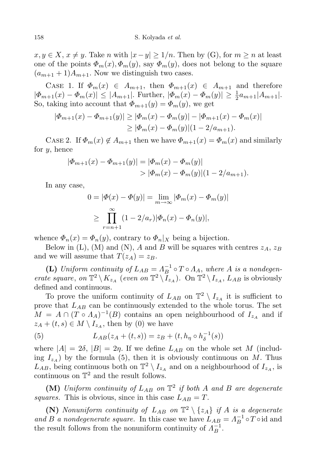*x*, *y* ∈ *X*, *x*  $\neq$  *y*. Take *n* with  $|x - y| \ge 1/n$ . Then by (G), for  $m \ge n$  at least one of the points  $\Phi_m(x), \Phi_m(y)$ , say  $\Phi_m(y)$ , does not belong to the square  $(a_{m+1}+1)A_{m+1}$ . Now we distinguish two cases.

CASE 1. If  $\Phi_m(x) \in A_{m+1}$ , then  $\Phi_{m+1}(x) \in A_{m+1}$  and therefore  $| \Phi_{m+1}(x) - \Phi_m(x) |$  ≤  $| A_{m+1} |$ . Further,  $| \Phi_m(x) - \Phi_m(y) |$  ≥  $\frac{1}{2}$  $\frac{1}{2}a_{m+1}|A_{m+1}|.$ So, taking into account that  $\Phi_{m+1}(y) = \Phi_m(y)$ , we get

$$
|\Phi_{m+1}(x) - \Phi_{m+1}(y)| \ge |\Phi_m(x) - \Phi_m(y)| - |\Phi_{m+1}(x) - \Phi_m(x)|
$$
  
\n
$$
\ge |\Phi_m(x) - \Phi_m(y)| (1 - 2/a_{m+1}).
$$

CASE 2. If  $\Phi_m(x) \notin A_{m+1}$  then we have  $\Phi_{m+1}(x) = \Phi_m(x)$  and similarly for *y*, hence

$$
|\Phi_{m+1}(x) - \Phi_{m+1}(y)| = |\Phi_m(x) - \Phi_m(y)|
$$
  
> 
$$
|\Phi_m(x) - \Phi_m(y)| (1 - 2/a_{m+1}).
$$

In any case,

$$
0 = |\Phi(x) - \Phi(y)| = \lim_{m \to \infty} |\Phi_m(x) - \Phi_m(y)|
$$
  
\n
$$
\geq \prod_{r=n+1}^{\infty} (1 - 2/a_r) |\Phi_n(x) - \Phi_n(y)|,
$$

whence  $\Phi_n(x) = \Phi_n(y)$ , contrary to  $\Phi_n|_X$  being a bijection.

Below in (L), (M) and (N), *A* and *B* will be squares with centres  $z_A$ ,  $z_B$ and we will assume that  $T(z_A) = z_B$ .

**(L)** *Uniform continuity of*  $L_{AB} = \Lambda_B^{-1} \circ T \circ \Lambda_A$ , where *A is a nondegenerate square*, *on*  $\mathbb{T}^2 \setminus K_{z_A}$  (*even on*  $\mathbb{T}^2 \setminus I_{z_A}$ ). On  $\mathbb{T}^2 \setminus I_{z_A}$ ,  $L_{AB}$  is obviously defined and continuous.

To prove the uniform continuity of  $L_{AB}$  on  $\mathbb{T}^2 \setminus I_{z_A}$  it is sufficient to prove that *LAB* can be continuously extended to the whole torus. The set  $M = A \cap (T \circ A_A)^{-1}(B)$  contains an open neighbourhood of  $I_{z_A}$  and if  $z_A + (t, s) \in M \setminus I_{z_A}$ , then by (0) we have

(5) 
$$
L_{AB}(z_A + (t,s)) = z_B + (t, h_\eta \circ h_\delta^{-1}(s))
$$

where  $|A| = 2\delta$ ,  $|B| = 2\eta$ . If we define  $L_{AB}$  on the whole set M (including  $I_{z_4}$ ) by the formula (5), then it is obviously continuous on M. Thus  $L_{AB}$ , being continuous both on  $\mathbb{T}^2 \setminus I_{z_A}$  and on a neighbourhood of  $I_{z_A}$ , is continuous on  $\mathbb{T}^2$  and the result follows.

**(M)** *Uniform continuity of LAB on* T 2 *if both A and B are degenerate squares.* This is obvious, since in this case  $L_{AB} = T$ .

**(N)** *Nonuniform continuity of*  $L_{AB}$  *on*  $\mathbb{T}^2 \setminus \{z_A\}$  *if A is a degenerate and B a nondegenerate square*. In this case we have  $L_{AB} = \Lambda_B^{-1} \circ T \circ \text{id}$  and the result follows from the nonuniform continuity of  $\Lambda_B^{-1}$ .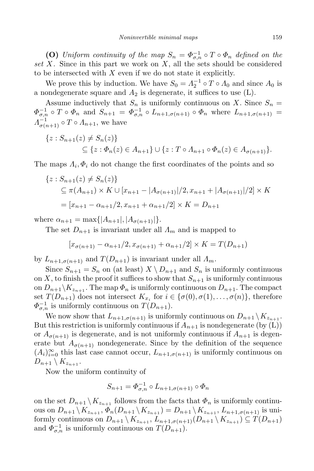**(O)** *Uniform continuity of the*  $map S_n = \Phi_{\sigma,n}^{-1} \circ T \circ \Phi_n$  *defined on the set X.* Since in this part we work on *X*, all the sets should be considered to be intersected with *X* even if we do not state it explicitly.

We prove this by induction. We have  $S_0 = \Lambda_2^{-1} \circ T \circ \Lambda_0$  and since  $\Lambda_0$  is a nondegenerate square and  $A_2$  is degenerate, it suffices to use  $(L)$ .

Assume inductively that  $S_n$  is uniformly continuous on X. Since  $S_n =$  $\Phi_{\sigma,n}^{-1} \circ T \circ \Phi_n$  and  $S_{n+1} = \Phi_{\sigma,n}^{-1} \circ L_{n+1,\sigma(n+1)} \circ \Phi_n$  where  $L_{n+1,\sigma(n+1)} =$  $\Lambda_{\sigma(n+1)}^{-1} \circ T \circ \Lambda_{n+1}$ , we have

$$
\{z : S_{n+1}(z) \neq S_n(z)\}
$$
  

$$
\subseteq \{z : \Phi_n(z) \in A_{n+1}\} \cup \{z : T \circ A_{n+1} \circ \Phi_n(z) \in A_{\sigma(n+1)}\}.
$$

The maps  $\Lambda_i$ ,  $\Phi_i$  do not change the first coordinates of the points and so

$$
\{z : S_{n+1}(z) \neq S_n(z)\}
$$
  
\n
$$
\subseteq \pi(A_{n+1}) \times K \cup [x_{n+1} - |A_{\sigma(n+1)}|/2, x_{n+1} + |A_{\sigma(n+1)}|/2] \times K
$$
  
\n
$$
= [x_{n+1} - \alpha_{n+1}/2, x_{n+1} + \alpha_{n+1}/2] \times K = D_{n+1}
$$

where  $\alpha_{n+1} = \max\{|A_{n+1}|, |A_{\sigma(n+1)}|\}.$ 

The set  $D_{n+1}$  is invariant under all  $\Lambda_m$  and is mapped to

$$
[x_{\sigma(n+1)} - \alpha_{n+1}/2, x_{\sigma(n+1)} + \alpha_{n+1}/2] \times K = T(D_{n+1})
$$

by  $L_{n+1,\sigma(n+1)}$  and  $T(D_{n+1})$  is invariant under all  $\Lambda_m$ .

Since  $S_{n+1} = S_n$  on (at least)  $X \setminus D_{n+1}$  and  $S_n$  is uniformly continuous on X, to finish the proof it suffices to show that  $S_{n+1}$  is uniformly continuous on  $D_{n+1} \backslash K_{z_{n+1}}$ . The map  $\Phi_n$  is uniformly continuous on  $D_{n+1}$ . The compact set  $T(D_{n+1})$  does not intersect  $K_{x_i}$  for  $i \in {\{\sigma(0), \sigma(1), \ldots, \sigma(n)\}}$ , therefore  $\Phi_{\sigma,n}^{-1}$  is uniformly continuous on  $T(D_{n+1})$ .

We now show that  $L_{n+1,\sigma(n+1)}$  is uniformly continuous on  $D_{n+1} \setminus K_{z_{n+1}}$ . But this restriction is uniformly continuous if  $A_{n+1}$  is nondegenerate (by  $(L)$ ) or  $A_{\sigma(n+1)}$  is degenerate, and is not uniformly continuous if  $A_{n+1}$  is degenerate but  $A_{\sigma(n+1)}$  nondegenerate. Since by the definition of the sequence  $(A_i)_{i=0}^{\infty}$  this last case cannot occur,  $L_{n+1,\sigma(n+1)}$  is uniformly continuous on  $D_{n+1} \setminus K_{z_{n+1}}$ .

Now the uniform continuity of

$$
S_{n+1} = \varPhi_{\sigma,n}^{-1} \circ L_{n+1,\sigma(n+1)} \circ \varPhi_n
$$

on the set  $D_{n+1} \setminus K_{z_{n+1}}$  follows from the facts that  $\Phi_n$  is uniformly continuous on  $D_{n+1} \backslash K_{z_{n+1}}, \Phi_n(D_{n+1} \backslash K_{z_{n+1}}) = D_{n+1} \backslash K_{z_{n+1}}, L_{n+1,\sigma(n+1)}$  is uniformly continuous on  $D_{n+1} \setminus K_{z_{n+1}}, L_{n+1,\sigma(n+1)}(D_{n+1} \setminus K_{z_{n+1}}) \subseteq T(D_{n+1})$ and  $\Phi_{\sigma,n}^{-1}$  is uniformly continuous on  $T(D_{n+1})$ .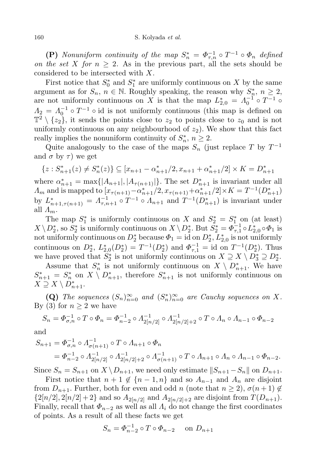**(P)** *Nonuniform continuity of the map*  $S_n^* = \Phi_{\tau,n}^{-1} \circ T^{-1} \circ \Phi_n$  *defined on the set X for*  $n \geq 2$ . As in the previous part, all the sets should be considered to be intersected with *X*.

First notice that  $S_0^*$  and  $S_1^*$  are uniformly continuous on *X* by the same argument as for  $S_n$ ,  $n \in \mathbb{N}$ . Roughly speaking, the reason why  $S_n^*$ ,  $n \geq 2$ , are not uniformly continuous on *X* is that the map  $L_{2,0}^* = \Lambda_0^{-1} \circ T^{-1} \circ$  $A_2 = A_0^{-1} \circ T^{-1} \circ \text{id}$  is not uniformly continuous (this map is defined on  $\mathbb{T}^2 \setminus \{z_2\}$ , it sends the points close to  $z_2$  to points close to  $z_0$  and is not uniformly continuous on any neighbourhood of  $z<sub>2</sub>$ ). We show that this fact really implies the nonuniform continuity of  $S_n^*$ ,  $n \geq 2$ .

Quite analogously to the case of the maps  $S_n$  (just replace  $T$  by  $T^{-1}$ and  $\sigma$  by  $\tau$ ) we get

$$
\{z: S_{n+1}^*(z) \neq S_n^*(z)\} \subseteq [x_{n+1} - \alpha_{n+1}^*/2, x_{n+1} + \alpha_{n+1}^*/2] \times K = D_{n+1}^*
$$

where  $\alpha_{n+1}^* = \max\{|A_{n+1}|, |A_{\tau(n+1)}|\}$ . The set  $D_{n+1}^*$  is invariant under all  $\Lambda_m$  and is mapped to  $[x_{\tau(n+1)} - \alpha_{n+1}^*/2, x_{\tau(n+1)} + \alpha_{n+1}^*/2] \times K = T^{-1}(D_{n+1}^*)$ by  $L_{n+1,\tau(n+1)}^* = \Lambda_{\tau,n+1}^{-1} \circ T^{-1} \circ \Lambda_{n+1}$  and  $T^{-1}(D_{n+1}^*)$  is invariant under all *Λm*.

The map  $S_1^*$  is uniformly continuous on *X* and  $S_2^* = S_1^*$  on (at least)  $X \setminus D_2^*$ , so  $S_2^*$  is uniformly continuous on  $X \setminus D_2^*$ . But  $S_2^* = \Phi_{\tau,1}^{-1} \circ L_{2,0}^* \circ \Phi_1$  is not uniformly continuous on  $D_2^*$  because  $\Phi_1 = \text{id}$  on  $D_2^*, L_{2,0}^*$  is not uniformly continuous on  $D_2^*$ ,  $L_{2,0}^*(D_2^*) = T^{-1}(D_2^*)$  and  $\Phi_{\tau,1}^{-1} = \text{id}$  on  $T^{-1}(D_2^*)$ . Thus we have proved that  $S_2^*$  is not uniformly continuous on  $X \supseteq X \setminus D_3^* \supseteq D_2^*$ .

Assume that  $S_n^*$  is not uniformly continuous on  $X \setminus D_{n+1}^*$ . We have  $S_{n+1}^* = S_n^*$  on  $X \setminus D_{n+1}^*$ , therefore  $S_{n+1}^*$  is not uniformly continuous on  $X \supseteq X \setminus D_{n+1}^*$ .

**(Q)** The sequences  $(S_n)_{n=0}^{\infty}$  and  $(S_n^*)_{n=0}^{\infty}$  are Cauchy sequences on X. By (3) for  $n \geq 2$  we have

$$
S_n = \Phi_{\sigma,n}^{-1} \circ T \circ \Phi_n = \Phi_{n-2}^{-1} \circ \Lambda_{2[n/2]}^{-1} \circ \Lambda_{2[n/2]+2}^{-1} \circ T \circ \Lambda_n \circ \Lambda_{n-1} \circ \Phi_{n-2}
$$

and

$$
S_{n+1} = \Phi_{\sigma,n}^{-1} \circ \Lambda_{\sigma(n+1)}^{-1} \circ T \circ \Lambda_{n+1} \circ \Phi_n
$$
  
=  $\Phi_{n-2}^{-1} \circ \Lambda_{2[n/2]}^{-1} \circ \Lambda_{2[n/2]+2}^{-1} \circ \Lambda_{\sigma(n+1)}^{-1} \circ T \circ \Lambda_{n+1} \circ \Lambda_n \circ \Lambda_{n-1} \circ \Phi_{n-2}.$ 

Since  $S_n = S_{n+1}$  on  $X \setminus D_{n+1}$ , we need only estimate  $||S_{n+1} - S_n||$  on  $D_{n+1}$ .

First notice that  $n + 1 \notin \{n-1, n\}$  and so  $A_{n-1}$  and  $A_n$  are disjoint from  $D_{n+1}$ . Further, both for even and odd *n* (note that  $n \geq 2$ ),  $\sigma(n+1) \notin$  $\{2[n/2], 2[n/2]+2\}$  and so  $A_{2[n/2]}$  and  $A_{2[n/2]+2}$  are disjoint from  $T(D_{n+1})$ . Finally, recall that  $\Phi_{n-2}$  as well as all  $\Lambda_i$  do not change the first coordinates of points. As a result of all these facts we get

$$
S_n = \Phi_{n-2}^{-1} \circ T \circ \Phi_{n-2} \quad \text{ on } D_{n+1}
$$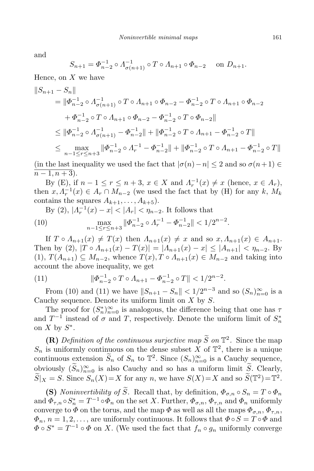and

$$
S_{n+1} = \Phi_{n-2}^{-1} \circ \Lambda_{\sigma(n+1)}^{-1} \circ T \circ \Lambda_{n+1} \circ \Phi_{n-2} \quad \text{ on } D_{n+1}.
$$

Hence, on *X* we have

$$
\begin{aligned}\n\|S_{n+1} - S_n\| &= \|\Phi_{n-2}^{-1} \circ \Lambda_{\sigma(n+1)}^{-1} \circ T \circ \Lambda_{n+1} \circ \Phi_{n-2} - \Phi_{n-2}^{-1} \circ T \circ \Lambda_{n+1} \circ \Phi_{n-2} \\
&\quad + \Phi_{n-2}^{-1} \circ T \circ \Lambda_{n+1} \circ \Phi_{n-2} - \Phi_{n-2}^{-1} \circ T \circ \Phi_{n-2}\| \\
&\le \|\Phi_{n-2}^{-1} \circ \Lambda_{\sigma(n+1)}^{-1} - \Phi_{n-2}^{-1}\| + \|\Phi_{n-2}^{-1} \circ T \circ \Lambda_{n+1} - \Phi_{n-2}^{-1} \circ T\| \\
&\le \max_{n-1 \le r \le n+3} \|\Phi_{n-2}^{-1} \circ \Lambda_r^{-1} - \Phi_{n-2}^{-1}\| + \|\Phi_{n-2}^{-1} \circ T \circ \Lambda_{n+1} - \Phi_{n-2}^{-1} \circ T\|\n\end{aligned}
$$

(in the last inequality we used the fact that  $|\sigma(n) - n| \leq 2$  and so  $\sigma(n+1) \in$  $\overline{n-1,n+3}$ ).

By (E), if  $n - 1 \le r \le n + 3$ ,  $x \in X$  and  $\Lambda_r^{-1}(x) \ne x$  (hence,  $x \in A_r$ ), then  $x, \Lambda_r^{-1}(x) \in A_r \cap M_{n-2}$  (we used the fact that by (H) for any  $k, M_k$ contains the squares  $A_{k+1}, \ldots, A_{k+5}$ .

By (2), 
$$
|A_r^{-1}(x) - x| < |A_r| < \eta_{n-2}
$$
. It follows that  
\n(10) 
$$
\max_{n-1 \le r \le n+3} \|\Phi_{n-2}^{-1} \circ A_r^{-1} - \Phi_{n-2}^{-1}\| < 1/2^{n-2}.
$$

If  $T \circ A_{n+1}(x) \neq T(x)$  then  $A_{n+1}(x) \neq x$  and so  $x, A_{n+1}(x) \in A_{n+1}$ . Then by (2),  $|T \circ A_{n+1}(x) - T(x)| = |A_{n+1}(x) - x| \leq |A_{n+1}| < \eta_{n-2}$ . By  $(T, T(A_{n+1}) \subseteq M_{n-2}$ , whence  $T(x), T \circ \Lambda_{n+1}(x) \in M_{n-2}$  and taking into account the above inequality, we get

(11) 
$$
\|\Phi_{n-2}^{-1} \circ T \circ \Lambda_{n+1} - \Phi_{n-2}^{-1} \circ T\| < 1/2^{n-2}.
$$

From (10) and (11) we have  $||S_{n+1} - S_n|| < 1/2^{n-3}$  and so  $(S_n)_{n=0}^{\infty}$  is a Cauchy sequence. Denote its uniform limit on *X* by *S*.

The proof for  $(S_n^*)_{n=0}^{\infty}$  is analogous, the difference being that one has  $\tau$ and  $T^{-1}$  instead of  $\sigma$  and  $T$ , respectively. Denote the uniform limit of  $S_n^*$ on *X* by  $S^*$ .

**(R)** Definition of the continuous surjective map  $\tilde{S}$  on  $\mathbb{T}^2$ . Since the map  $S_n$  is uniformly continuous on the dense subset *X* of  $\mathbb{T}^2$ , there is a unique continuous extension  $S_n$  of  $S_n$  to  $\mathbb{T}^2$ . Since  $(S_n)_{n=0}^{\infty}$  is a Cauchy sequence, obviously  $(S_n)_{n=0}^{\infty}$  is also Cauchy and so has a uniform limit *S*. Clearly,  $\widetilde{S}|X = S$ . Since  $S_n(X) = X$  for any *n*, we have  $S(X) = X$  and so  $\widetilde{S}(\mathbb{T}^2) = \mathbb{T}^2$ .

**(S)** *Noninvertibility of*  $\widetilde{S}$ *.* Recall that, by definition,  $\Phi_{\sigma,n} \circ S_n = T \circ \Phi_n$ and  $\Phi_{\tau,n} \circ S_n^* = T^{-1} \circ \Phi_n$  on the set *X*. Further,  $\Phi_{\sigma,n}$ ,  $\Phi_{\tau,n}$  and  $\Phi_n$  uniformly converge to  $\Phi$  on the torus, and the map  $\Phi$  as well as all the maps  $\Phi_{\sigma,n}$ ,  $\Phi_{\tau,n}$ ,  $\Phi_n$ ,  $n = 1, 2, \ldots$ , are uniformly continuous. It follows that  $\Phi \circ S = T \circ \Phi$  and  $\Phi \circ S^* = T^{-1} \circ \Phi$  on *X*. (We used the fact that  $f_n \circ g_n$  uniformly converge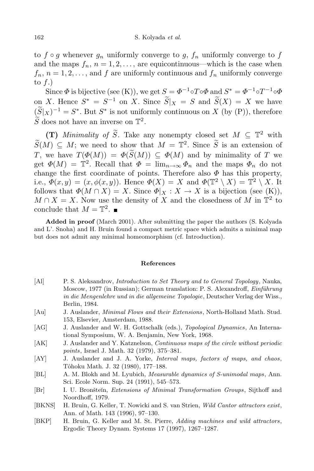to  $f \circ g$  whenever  $g_n$  uniformly converge to  $g$ ,  $f_n$  uniformly converge to  $f$ and the maps  $f_n$ ,  $n = 1, 2, \ldots$ , are equicontinuous—which is the case when  $f_n$ ,  $n = 1, 2, \ldots$ , and  $f$  are uniformly continuous and  $f_n$  uniformly converge to *f*.)

Since  $\Phi$  is bijective (see (K)), we get  $S = \Phi^{-1} \circ T \circ \Phi$  and  $S^* = \Phi^{-1} \circ T^{-1} \circ \Phi$ on *X*. Hence  $S^* = S^{-1}$  on *X*. Since  $\tilde{S}|_X = S$  and  $\tilde{S}(X) = X$  we have  $(S|X)^{-1} = S^*$ . But  $S^*$  is not uniformly continuous on *X* (by (P)), therefore  $\tilde{S}$  does not have an inverse on  $\mathbb{T}^2$ .

**(T)** *Minimality of S*. Take any nonempty closed set  $M \subseteq \mathbb{T}^2$  with  $\widetilde{S}(M) \subseteq M$ ; we need to show that  $M = \mathbb{T}^2$ . Since  $\widetilde{S}$  is an extension of *T*, we have  $T(\Phi(M)) = \Phi(\widetilde{S}(M)) \subset \Phi(M)$  and by minimality of *T* we get  $\Phi(M) = \mathbb{T}^2$ . Recall that  $\Phi = \lim_{n \to \infty} \Phi_n$  and the maps  $\Phi_n$  do not change the first coordinate of points. Therefore also  $\Phi$  has this property, i.e.,  $\Phi(x, y) = (x, \phi(x, y))$ . Hence  $\Phi(X) = X$  and  $\Phi(\mathbb{T}^2 \setminus X) = \mathbb{T}^2 \setminus X$ . It follows that  $\Phi(M \cap X) = X$ . Since  $\Phi|_X : X \to X$  is a bijection (see (K)),  $M \cap X = X$ . Now use the density of *X* and the closedness of *M* in  $\mathbb{T}^2$  to conclude that  $M = \mathbb{T}^2$ .

**Added in proof** (March 2001). After submitting the paper the authors (S. Kolyada and L'. Snoha) and H. Bruin found a compact metric space which admits a minimal map but does not admit any minimal homeomorphism (cf. Introduction).

## **References**

- [Al] P. S. Aleksandrov, *Introduction to Set Theory and to General Topology*, Nauka, Moscow, 1977 (in Russian); German translation: P. S. Alexandroff, *Einfuhrung ¨ in die Mengenlehre und in die allgemeine Topologie*, Deutscher Verlag der Wiss., Berlin, 1984.
- [Au] J. Auslander, *Minimal Flows and their Extensions*, North-Holland Math. Stud. 153, Elsevier, Amsterdam, 1988.
- [AG] J. Auslander and W. H. Gottschalk (eds.), *Topological Dynamics*, An International Symposium, W. A. Benjamin, New York, 1968.
- [AK] J. Auslander and Y. Katznelson, *Continuous maps of the circle without periodic points*, Israel J. Math. 32 (1979), 375–381.
- [AY] J. Auslander and J. A. Yorke, *Interval maps, factors of maps, and chaos*, Tˆohoku Math. J. 32 (1980), 177–188.
- [BL] A. M. Blokh and M. Lyubich, *Measurable dynamics of S-unimodal maps*, Ann. Sci. Ecole Norm. Sup. 24 (1991), 545–573.
- [Br] I. U. Bronšteĭn, *Extensions* of *Minimal Transformation Groups*, Sijthoff and Noordhoff, 1979.
- [BKNS] H. Bruin, G. Keller, T. Nowicki and S. van Strien, *Wild Cantor attractors exist*, Ann. of Math. 143 (1996), 97–130.
- [BKP] H. Bruin, G. Keller and M. St. Pierre, *Adding machines and wild attractors*, Ergodic Theory Dynam. Systems 17 (1997), 1267–1287.